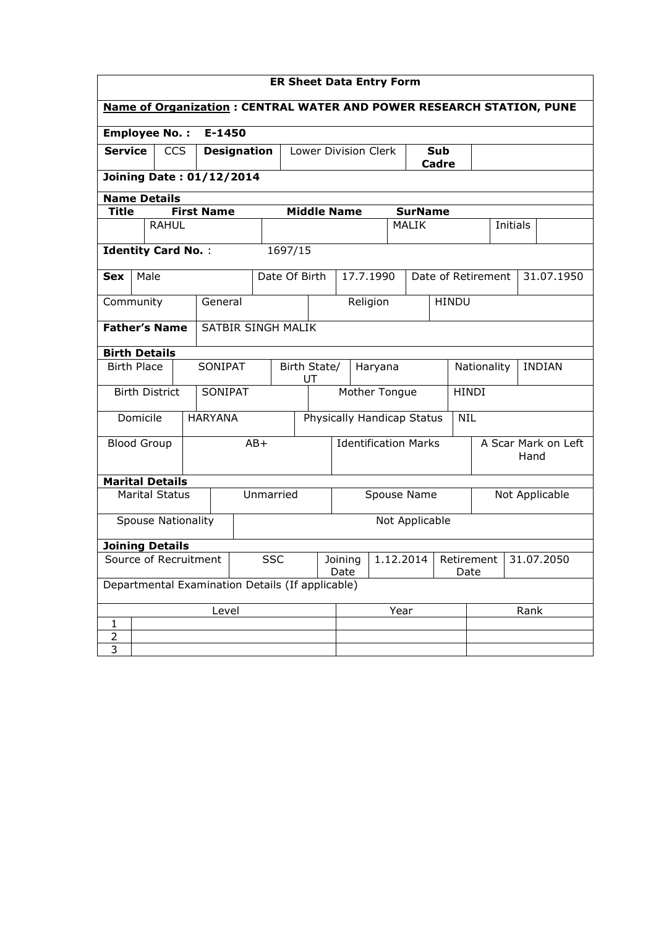| <b>ER Sheet Data Entry Form</b>                                             |                                             |                                  |  |  |  |  |  |
|-----------------------------------------------------------------------------|---------------------------------------------|----------------------------------|--|--|--|--|--|
| <b>Name of Organization: CENTRAL WATER AND POWER RESEARCH STATION, PUNE</b> |                                             |                                  |  |  |  |  |  |
| <b>Employee No.:</b><br>E-1450                                              |                                             |                                  |  |  |  |  |  |
| <b>Service</b><br><b>CCS</b><br><b>Designation</b>                          | <b>Lower Division Clerk</b><br>Sub<br>Cadre |                                  |  |  |  |  |  |
| <b>Joining Date: 01/12/2014</b>                                             |                                             |                                  |  |  |  |  |  |
| <b>Name Details</b>                                                         |                                             |                                  |  |  |  |  |  |
| <b>First Name</b><br><b>Middle Name</b><br><b>Title</b>                     | <b>SurName</b>                              |                                  |  |  |  |  |  |
| <b>RAHUL</b>                                                                | <b>MALIK</b>                                | Initials                         |  |  |  |  |  |
| 1697/15<br><b>Identity Card No.:</b>                                        |                                             |                                  |  |  |  |  |  |
| Date Of Birth<br>Male<br><b>Sex</b>                                         | 17.7.1990                                   | 31.07.1950<br>Date of Retirement |  |  |  |  |  |
| General<br>Community                                                        | Religion                                    | <b>HINDU</b>                     |  |  |  |  |  |
| <b>Father's Name</b><br>SATBIR SINGH MALIK                                  |                                             |                                  |  |  |  |  |  |
| <b>Birth Details</b>                                                        |                                             |                                  |  |  |  |  |  |
| <b>Birth Place</b><br>SONIPAT<br>UT                                         | Birth State/<br>Nationality<br>Haryana      |                                  |  |  |  |  |  |
| SONIPAT<br><b>Birth District</b>                                            | Mother Tongue                               | <b>HINDI</b>                     |  |  |  |  |  |
| Domicile<br><b>HARYANA</b>                                                  | Physically Handicap Status                  | <b>NIL</b>                       |  |  |  |  |  |
| <b>Blood Group</b><br>$AB+$                                                 | <b>Identification Marks</b>                 | A Scar Mark on Left<br>Hand      |  |  |  |  |  |
| <b>Marital Details</b>                                                      |                                             |                                  |  |  |  |  |  |
| Unmarried<br><b>Marital Status</b>                                          | Spouse Name<br>Not Applicable               |                                  |  |  |  |  |  |
| <b>Spouse Nationality</b>                                                   | Not Applicable                              |                                  |  |  |  |  |  |
| <b>Joining Details</b>                                                      |                                             |                                  |  |  |  |  |  |
| Source of Recruitment<br><b>SSC</b>                                         | 1.12.2014<br>Joining<br>Date                | 31.07.2050<br>Retirement<br>Date |  |  |  |  |  |
| Departmental Examination Details (If applicable)                            |                                             |                                  |  |  |  |  |  |
| Level                                                                       | Year                                        | Rank                             |  |  |  |  |  |
| 1                                                                           |                                             |                                  |  |  |  |  |  |
| $rac{2}{3}$                                                                 |                                             |                                  |  |  |  |  |  |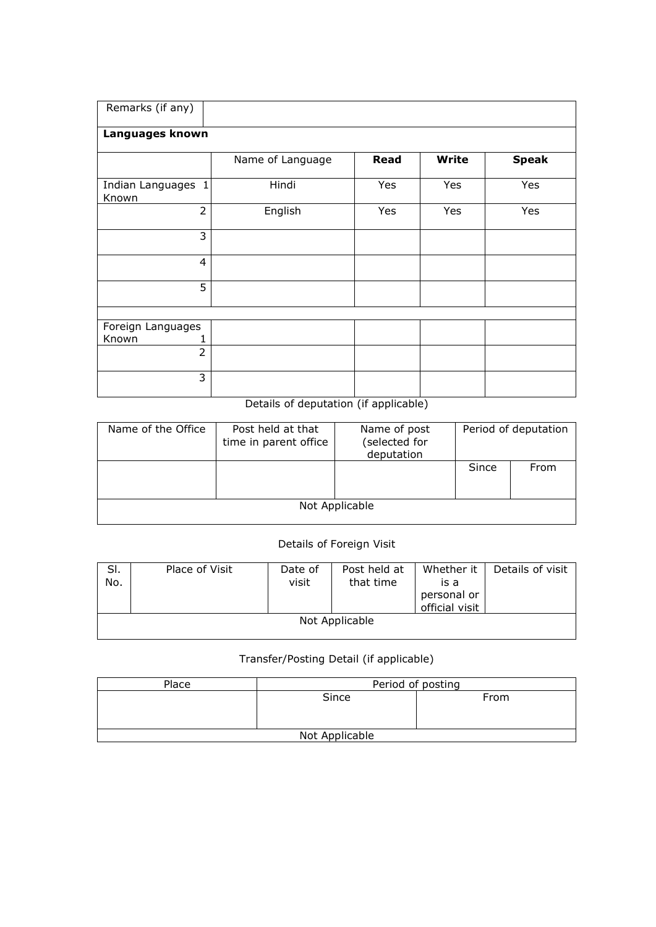| Remarks (if any)   |                  |      |              |              |
|--------------------|------------------|------|--------------|--------------|
|                    |                  |      |              |              |
| Languages known    |                  |      |              |              |
|                    |                  |      |              |              |
|                    | Name of Language | Read | <b>Write</b> | <b>Speak</b> |
|                    |                  |      |              |              |
| Indian Languages 1 | Hindi            | Yes  | Yes          | Yes          |
| Known              |                  |      |              |              |
| $\overline{2}$     | English          | Yes  | Yes          | Yes          |
|                    |                  |      |              |              |
| 3                  |                  |      |              |              |
|                    |                  |      |              |              |
| $\overline{4}$     |                  |      |              |              |
|                    |                  |      |              |              |
| 5                  |                  |      |              |              |
|                    |                  |      |              |              |
|                    |                  |      |              |              |
| Foreign Languages  |                  |      |              |              |
|                    |                  |      |              |              |
| Known<br>1         |                  |      |              |              |
| $\overline{2}$     |                  |      |              |              |
|                    |                  |      |              |              |
| 3                  |                  |      |              |              |
|                    |                  |      |              |              |

## Details of deputation (if applicable)

| Name of the Office | Post held at that<br>time in parent office | Name of post<br>(selected for<br>deputation |       | Period of deputation |
|--------------------|--------------------------------------------|---------------------------------------------|-------|----------------------|
|                    |                                            |                                             | Since | From                 |
|                    |                                            | Not Applicable                              |       |                      |

## Details of Foreign Visit

| SI.<br>No.     | Place of Visit | Date of<br>visit | Post held at<br>that time | Whether it<br>is a            | Details of visit |  |  |
|----------------|----------------|------------------|---------------------------|-------------------------------|------------------|--|--|
|                |                |                  |                           | personal or<br>official visit |                  |  |  |
| Not Applicable |                |                  |                           |                               |                  |  |  |

## Transfer/Posting Detail (if applicable)

| Place          | Period of posting |      |  |  |  |
|----------------|-------------------|------|--|--|--|
|                | Since             | From |  |  |  |
|                |                   |      |  |  |  |
|                |                   |      |  |  |  |
| Not Applicable |                   |      |  |  |  |